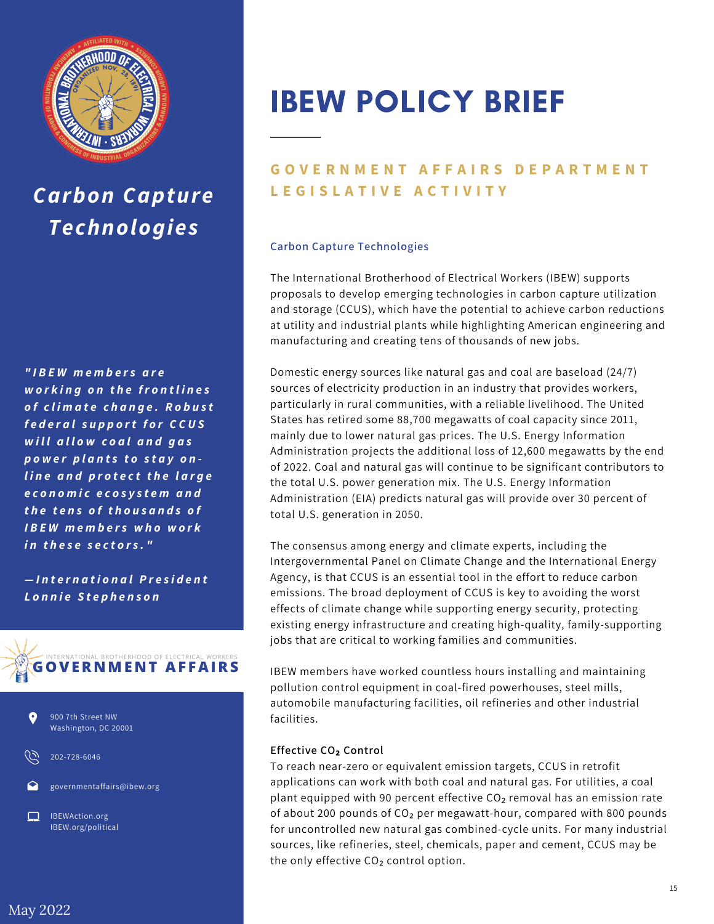

## *Carbon Capture Technologies*

*" I B E W m e m b e r s a r e w o r k in g o n t h e fr o n t l i n e s o f c l i m a t e c h a n g e . R o b u s t f e d e r a ls u p p o rt f o r C C U S w i ll a ll o w c o a la n d g a s p o w e r p l a n t s t o s t a y o n l i n e a n d p r o t e c t t h e l a r g e e c o n o m i c e c o s y s t e m a n d t h e t e n s o f t h o u s a n d s o f I B E W m e m b e r s w h o w o r k i n t h e s e s e c t o r s . "*

*— I n t e r n a t i o n a lP r e s i d e n t L o n n ie S t e p h e n s o n*





202-728-6046

governmentaffairs@ibew.org

IBEWAction.org IBEW.org/political

# IBEW POLICY BRIEF

### **GOVERNMENT AFFAIRS DEPARTMENT L E G I S L A T I V E A C T I V I T Y**

#### **Carbon Capture Technologies**

The International Brotherhood of Electrical Workers (IBEW) supports proposals to develop emerging technologies in carbon capture utilization and storage (CCUS), which have the potential to achieve carbon reductions at utility and industrial plants while highlighting American engineering and manufacturing and creating tens of thousands of new jobs.

Domestic energy sources like natural gas and coal are baseload (24/7) sources of electricity production in an industry that provides workers, particularly in rural communities, with a reliable livelihood. The United States has retired some 88,700 megawatts of coal capacity since 2011, mainly due to lower natural gas prices. The U.S. Energy Information Administration projects the additional loss of 12,600 megawatts by the end of 2022. Coal and natural gas will continue to be significant contributors to the total U.S. power generation mix. The U.S. Energy Information Administration (EIA) predicts natural gas will provide over 30 percent of total U.S. generation in 2050.

The consensus among energy and climate experts, including the Intergovernmental Panel on Climate Change and the International Energy Agency, is that CCUS is an essential tool in the effort to reduce carbon emissions. The broad deployment of CCUS is key to avoiding the worst effects of climate change while supporting energy security, protecting existing energy infrastructure and creating high-quality, family-supporting jobs that are critical to working families and communities.

IBEW members have worked countless hours installing and maintaining pollution control equipment in coal-fired powerhouses, steel mills, automobile manufacturing facilities, oil refineries and other industrial facilities.

#### **Effective CO₂ Control**

To reach near-zero or equivalent emission targets, CCUS in retrofit applications can work with both coal and natural gas. For utilities, a coal plant equipped with 90 percent effective  $CO<sub>2</sub>$  removal has an emission rate of about 200 pounds of CO₂ per megawatt-hour, compared with 800 pounds for uncontrolled new natural gas combined-cycle units. For many industrial sources, like refineries, steel, chemicals, paper and cement, CCUS may be the only effective CO<sub>2</sub> control option.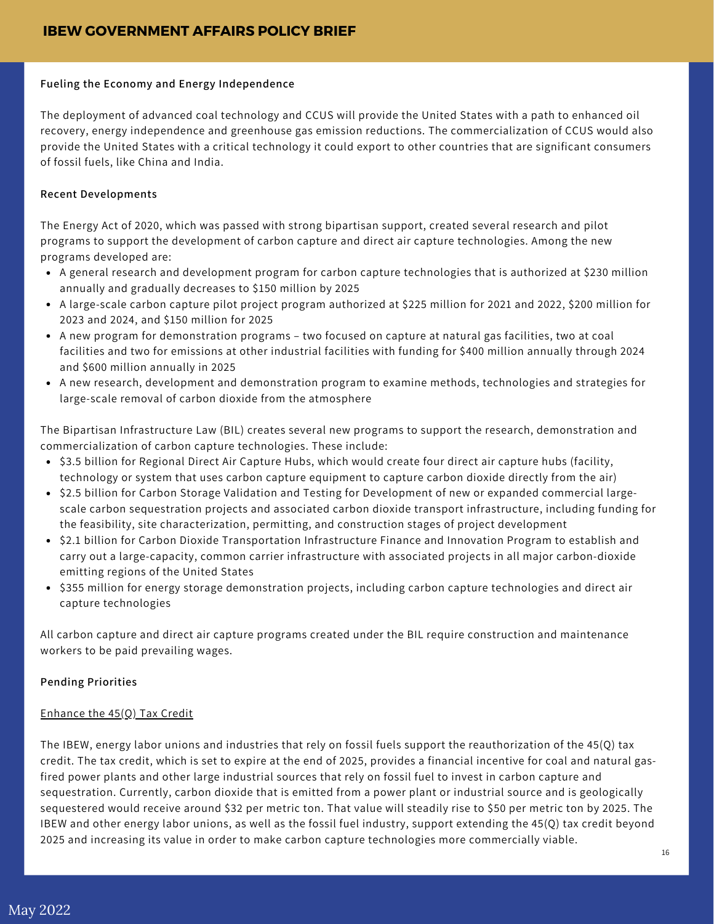#### **Fueling the Economy and Energy Independence**

The deployment of advanced coal technology and CCUS will provide the United States with a path to enhanced oil recovery, energy independence and greenhouse gas emission reductions. The commercialization of CCUS would also provide the United States with a critical technology it could export to other countries that are significant consumers of fossil fuels, like China and India.

#### **Recent Developments**

The Energy Act of 2020, which was passed with strong bipartisan support, created several research and pilot programs to support the development of carbon capture and direct air capture technologies. Among the new programs developed are:

- A general research and development program for carbon capture technologies that is authorized at \$230 million annually and gradually decreases to \$150 million by 2025
- A large-scale carbon capture pilot project program authorized at \$225 million for 2021 and 2022, \$200 million for 2023 and 2024, and \$150 million for 2025
- A new program for demonstration programs two focused on capture at natural gas facilities, two at coal facilities and two for emissions at other industrial facilities with funding for \$400 million annually through 2024 and \$600 million annually in 2025
- A new research, development and demonstration program to examine methods, technologies and strategies for large-scale removal of carbon dioxide from the atmosphere

The Bipartisan Infrastructure Law (BIL) creates several new programs to support the research, demonstration and commercialization of carbon capture technologies. These include:

- \$3.5 billion for Regional Direct Air Capture Hubs, which would create four direct air capture hubs (facility, technology or system that uses carbon capture equipment to capture carbon dioxide directly from the air)
- \$2.5 billion for Carbon Storage Validation and Testing for Development of new or expanded commercial largescale carbon sequestration projects and associated carbon dioxide transport infrastructure, including funding for the feasibility, site characterization, permitting, and construction stages of project development
- \$2.1 billion for Carbon Dioxide Transportation Infrastructure Finance and Innovation Program to establish and carry out a large-capacity, common carrier infrastructure with associated projects in all major carbon-dioxide emitting regions of the United States
- \$355 million for energy storage demonstration projects, including carbon capture technologies and direct air capture technologies

All carbon capture and direct air capture programs created under the BIL require construction and maintenance workers to be paid prevailing wages.

#### **Pending Priorities**

#### Enhance the 45(Q) Tax Credit

The IBEW, energy labor unions and industries that rely on fossil fuels support the reauthorization of the 45(Q) tax credit. The tax credit, which is set to expire at the end of 2025, provides a financial incentive for coal and natural gasfired power plants and other large industrial sources that rely on fossil fuel to invest in carbon capture and sequestration. Currently, carbon dioxide that is emitted from a power plant or industrial source and is geologically sequestered would receive around \$32 per metric ton. That value will steadily rise to \$50 per metric ton by 2025. The IBEW and other energy labor unions, as well as the fossil fuel industry, support extending the 45(Q) tax credit beyond 2025 and increasing its value in order to make carbon capture technologies more commercially viable.